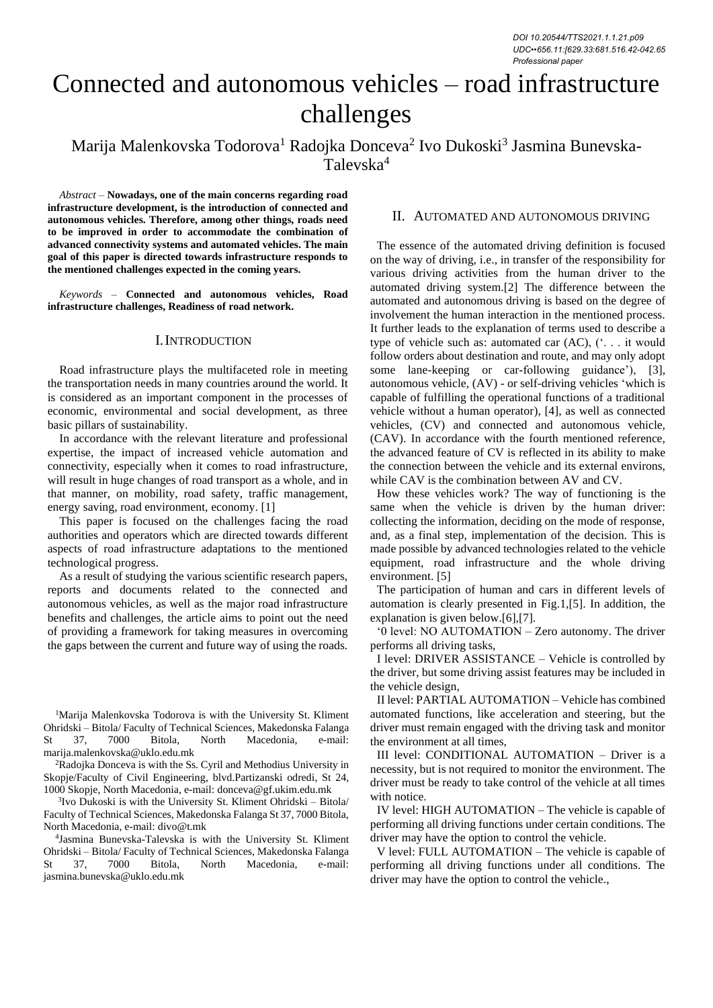# Connected and autonomous vehicles – road infrastructure challenges

Marija Malenkovska Todorova<sup>1</sup> Radojka Donceva<sup>2</sup> Ivo Dukoski<sup>3</sup> Jasmina Bunevska-Talevska<sup>4</sup>

*Abstract –* **Nowadays, one of the main concerns regarding road infrastructure development, is the introduction of connected and autonomous vehicles. Therefore, among other things, roads need to be improved in order to accommodate the combination of advanced connectivity systems and automated vehicles. The main goal of this paper is directed towards infrastructure responds to the mentioned challenges expected in the coming years.**

*Keywords –* **Connected and autonomous vehicles, Road infrastructure challenges, Readiness of road network.**

## I.INTRODUCTION

Road infrastructure plays the multifaceted role in meeting the transportation needs in many countries around the world. It is considered as an important component in the processes of economic, environmental and social development, as three basic pillars of sustainability.

In accordance with the relevant literature and professional expertise, the impact of increased vehicle automation and connectivity, especially when it comes to road infrastructure, will result in huge changes of road transport as a whole, and in that manner, on mobility, road safety, traffic management, energy saving, road environment, economy. [1]

This paper is focused on the challenges facing the road authorities and operators which are directed towards different aspects of road infrastructure adaptations to the mentioned technological progress.

As a result of studying the various scientific research papers, reports and documents related to the connected and autonomous vehicles, as well as the major road infrastructure benefits and challenges, the article aims to point out the need of providing a framework for taking measures in overcoming the gaps between the current and future way of using the roads.

<sup>1</sup>Marija Malenkovska Todorova is with the University St. Kliment Ohridski – Bitola/ Faculty of Technical Sciences, Makedonska Falanga St 37, 7000 Bitola, North Macedonia, e-mail: marija.malenkovska@uklo.edu.mk

<sup>2</sup>Radojka Donceva is with the Ss. Cyril and Methodius University in Skopje/Faculty of Civil Engineering, blvd.Partizanski odredi, St 24, 1000 Skopje, North Macedonia, e-mail: donceva@gf.ukim.edu.mk

3 Ivo Dukoski is with the University St. Kliment Ohridski – Bitola/ Faculty of Technical Sciences, Makedonska Falanga St 37, 7000 Bitola, North Macedonia, e-mail: divo@t.mk

4 Jasmina Bunevska-Talevska is with the University St. Kliment Ohridski – Bitola/ Faculty of Technical Sciences, Makedonska Falanga St 37, 7000 Bitola, North Macedonia, e-mail: jasmina.bunevska@uklo.edu.mk

## II. AUTOMATED AND AUTONOMOUS DRIVING

The essence of the automated driving definition is focused on the way of driving, i.e., in transfer of the responsibility for various driving activities from the human driver to the automated driving system.[2] The difference between the automated and autonomous driving is based on the degree of involvement the human interaction in the mentioned process. It further leads to the explanation of terms used to describe a type of vehicle such as: automated car (AC), ('. . . it would follow orders about destination and route, and may only adopt some lane-keeping or car-following guidance'), [3], autonomous vehicle, (AV) - or self-driving vehicles 'which is capable of fulfilling the operational functions of a traditional vehicle without a human operator), [4], as well as connected vehicles, (CV) and connected and autonomous vehicle, (CAV). In accordance with the fourth mentioned reference, the advanced feature of CV is reflected in its ability to make the connection between the vehicle and its external environs, while CAV is the combination between AV and CV.

How these vehicles work? The way of functioning is the same when the vehicle is driven by the human driver: collecting the information, deciding on the mode of response, and, as a final step, implementation of the decision. This is made possible by advanced technologies related to the vehicle equipment, road infrastructure and the whole driving environment. [5]

The participation of human and cars in different levels of automation is clearly presented in Fig.1,[5]. In addition, the explanation is given below.[6],[7].

'0 level: NO AUTOMATION – Zero autonomy. The driver performs all driving tasks,

I level: DRIVER ASSISTANCE – Vehicle is controlled by the driver, but some driving assist features may be included in the vehicle design,

II level: PARTIAL AUTOMATION – Vehicle has combined automated functions, like acceleration and steering, but the driver must remain engaged with the driving task and monitor the environment at all times,

III level: CONDITIONAL AUTOMATION – Driver is a necessity, but is not required to monitor the environment. The driver must be ready to take control of the vehicle at all times with notice.

IV level: HIGH AUTOMATION – The vehicle is capable of performing all driving functions under certain conditions. The driver may have the option to control the vehicle.

V level: FULL AUTOMATION – The vehicle is capable of performing all driving functions under all conditions. The driver may have the option to control the vehicle.,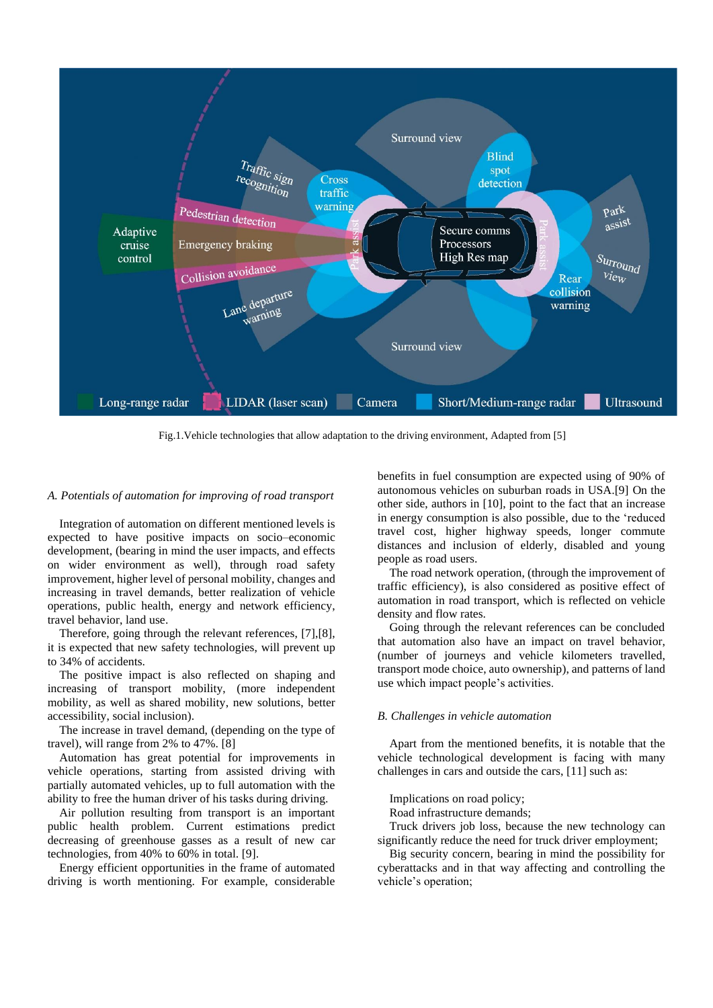

Fig.1.Vehicle technologies that allow adaptation to the driving environment, Adapted from [5]

#### *A. Potentials of automation for improving of road transport*

Integration of automation on different mentioned levels is expected to have positive impacts on socio–economic development, (bearing in mind the user impacts, and effects on wider environment as well), through road safety improvement, higher level of personal mobility, changes and increasing in travel demands, better realization of vehicle operations, public health, energy and network efficiency, travel behavior, land use.

Therefore, going through the relevant references, [7],[8], it is expected that new safety technologies, will prevent up to 34% of accidents.

The positive impact is also reflected on shaping and increasing of transport mobility, (more independent mobility, as well as shared mobility, new solutions, better accessibility, social inclusion).

The increase in travel demand, (depending on the type of travel), will range from 2% to 47%. [8]

Automation has great potential for improvements in vehicle operations, starting from assisted driving with partially automated vehicles, up to full automation with the ability to free the human driver of his tasks during driving.

Air pollution resulting from transport is an important public health problem. Current estimations predict decreasing of greenhouse gasses as a result of new car technologies, from 40% to 60% in total. [9].

Energy efficient opportunities in the frame of automated driving is worth mentioning. For example, considerable benefits in fuel consumption are expected using of 90% of autonomous vehicles on suburban roads in USA.[9] On the other side, authors in [10], point to the fact that an increase in energy consumption is also possible, due to the 'reduced travel cost, higher highway speeds, longer commute distances and inclusion of elderly, disabled and young people as road users.

The road network operation, (through the improvement of traffic efficiency), is also considered as positive effect of automation in road transport, which is reflected on vehicle density and flow rates.

Going through the relevant references can be concluded that automation also have an impact on travel behavior, (number of journeys and vehicle kilometers travelled, transport mode choice, auto ownership), and patterns of land use which impact people's activities.

#### *B. Challenges in vehicle automation*

Apart from the mentioned benefits, it is notable that the vehicle technological development is facing with many challenges in cars and outside the cars, [11] such as:

Implications on road policy;

Road infrastructure demands;

Truck drivers job loss, because the new technology can significantly reduce the need for truck driver employment;

Big security concern, bearing in mind the possibility for cyberattacks and in that way affecting and controlling the vehicle's operation;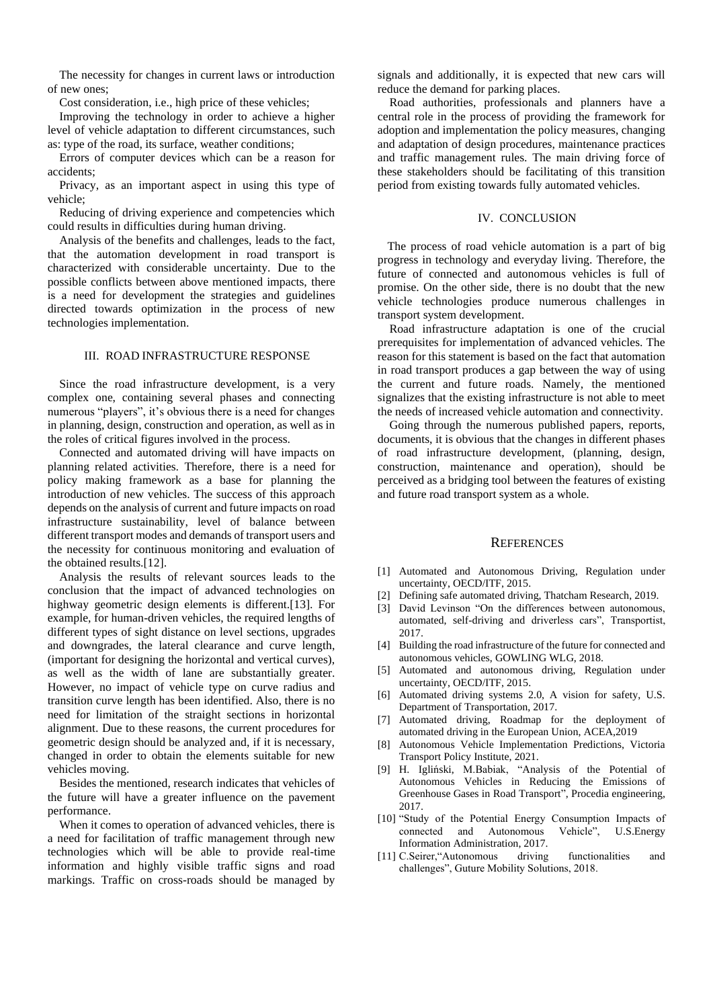The necessity for changes in current laws or introduction of new ones;

Cost consideration, i.e., high price of these vehicles;

Improving the technology in order to achieve a higher level of vehicle adaptation to different circumstances, such as: type of the road, its surface, weather conditions;

Errors of computer devices which can be a reason for accidents;

Privacy, as an important aspect in using this type of vehicle;

Reducing of driving experience and competencies which could results in difficulties during human driving.

Analysis of the benefits and challenges, leads to the fact, that the automation development in road transport is characterized with considerable uncertainty. Due to the possible conflicts between above mentioned impacts, there is a need for development the strategies and guidelines directed towards optimization in the process of new technologies implementation.

#### III. ROAD INFRASTRUCTURE RESPONSE

Since the road infrastructure development, is a very complex one, containing several phases and connecting numerous "players", it's obvious there is a need for changes in planning, design, construction and operation, as well as in the roles of critical figures involved in the process.

Connected and automated driving will have impacts on planning related activities. Therefore, there is a need for policy making framework as a base for planning the introduction of new vehicles. The success of this approach depends on the analysis of current and future impacts on road infrastructure sustainability, level of balance between different transport modes and demands of transport users and the necessity for continuous monitoring and evaluation of the obtained results.[12].

Analysis the results of relevant sources leads to the conclusion that the impact of advanced technologies on highway geometric design elements is different.[13]. For example, for human-driven vehicles, the required lengths of different types of sight distance on level sections, upgrades and downgrades, the lateral clearance and curve length, (important for designing the horizontal and vertical curves), as well as the width of lane are substantially greater. However, no impact of vehicle type on curve radius and transition curve length has been identified. Also, there is no need for limitation of the straight sections in horizontal alignment. Due to these reasons, the current procedures for geometric design should be analyzed and, if it is necessary, changed in order to obtain the elements suitable for new vehicles moving.

Besides the mentioned, research indicates that vehicles of the future will have a greater influence on the pavement performance.

When it comes to operation of advanced vehicles, there is a need for facilitation of traffic management through new technologies which will be able to provide real-time information and highly visible traffic signs and road markings. Traffic on cross-roads should be managed by

signals and additionally, it is expected that new cars will reduce the demand for parking places.

Road authorities, professionals and planners have a central role in the process of providing the framework for adoption and implementation the policy measures, changing and adaptation of design procedures, maintenance practices and traffic management rules. The main driving force of these stakeholders should be facilitating of this transition period from existing towards fully automated vehicles.

### IV. CONCLUSION

The process of road vehicle automation is a part of big progress in technology and everyday living. Therefore, the future of connected and autonomous vehicles is full of promise. On the other side, there is no doubt that the new vehicle technologies produce numerous challenges in transport system development.

Road infrastructure adaptation is one of the crucial prerequisites for implementation of advanced vehicles. The reason for this statement is based on the fact that automation in road transport produces a gap between the way of using the current and future roads. Namely, the mentioned signalizes that the existing infrastructure is not able to meet the needs of increased vehicle automation and connectivity.

Going through the numerous published papers, reports, documents, it is obvious that the changes in different phases of road infrastructure development, (planning, design, construction, maintenance and operation), should be perceived as a bridging tool between the features of existing and future road transport system as a whole.

## **REFERENCES**

- [1] Automated and Autonomous Driving, Regulation under uncertainty, OECD/ITF, 2015.
- [2] Defining safe automated driving, Thatcham Research, 2019.
- [3] David Levinson "On the differences between autonomous, automated, self-driving and driverless cars", Transportist, 2017.
- [4] Building the road infrastructure of the future for connected and autonomous vehicles, GOWLING WLG, 2018.
- [5] Automated and autonomous driving, Regulation under uncertainty, OECD/ITF, 2015.
- [6] Automated driving systems 2.0, A vision for safety, U.S. Department of Transportation, 2017.
- [7] Automated driving, Roadmap for the deployment of automated driving in the European Union, ACEA,2019
- [8] Autonomous Vehicle Implementation Predictions, Victoria Transport Policy Institute, 2021.
- [9] H. Igliński, M.Babiak, "Analysis of the Potential of Autonomous Vehicles in Reducing the Emissions of Greenhouse Gases in Road Transport", Procedia engineering, 2017.
- [10] "Study of the Potential Energy Consumption Impacts of connected and Autonomous Vehicle", U.S.Energy Information Administration, 2017.
- [11] C.Seirer,"Autonomous driving functionalities and challenges", Guture Mobility Solutions, 2018.